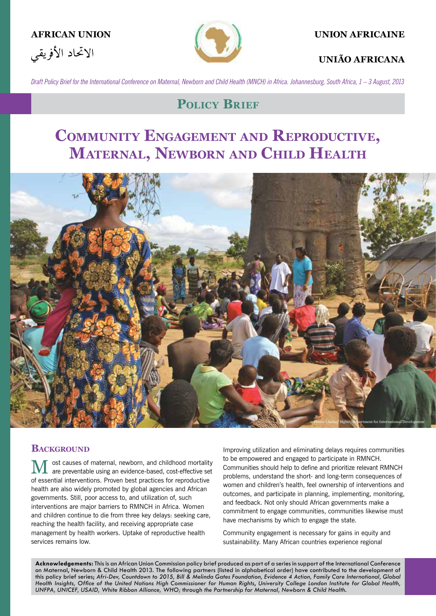



#### **AFRICAN UNION UNION AFRICAINE**

#### **UNIÃO AFRICANA**

*Draft Policy Brief for the International Conference on Maternal, Newborn and Child Health (MNCH) in Africa. Johannesburg, South Africa, 1 – 3 August, 2013*

## **POLICY BRIEF**

# **COMMUNITY ENGAGEMENT AND REPRODUCTIVE, MATERNAL, NEWBORN AND CHILD HEALTH**



#### **BACKGROUND**

ost causes of maternal, newborn, and childhood mortality are preventable using an evidence-based, cost-effective set of essential interventions. Proven best practices for reproductive health are also widely promoted by global agencies and African governments. Still, poor access to, and utilization of, such interventions are major barriers to RMNCH in Africa. Women and children continue to die from three key delays: seeking care, reaching the health facility, and receiving appropriate case management by health workers. Uptake of reproductive health services remains low.

Improving utilization and eliminating delays requires communities to be empowered and engaged to participate in RMNCH. Communities should help to define and prioritize relevant RMNCH problems, understand the short- and long-term consequences of women and children's health, feel ownership of interventions and outcomes, and participate in planning, implementing, monitoring, and feedback. Not only should African governments make a commitment to engage communities, communities likewise must have mechanisms by which to engage the state.

Community engagement is necessary for gains in equity and sustainability. Many African countries experience regional

**Acknowledgements:** This is an African Union Commission policy brief produced as part of a series in support of the International Conference on Maternal, Newborn & Child Health 2013. The following partners (listed in alphabetical order) have contributed to the development of this policy brief series; *Afri-Dev, Countdown to 2015, Bill & Melinda Gates Foundation, Evidence 4 Action, Family Care International, Global*  Health Insights, Office of the United Nations High Commissioner for Human Rights, University College London Institute for Global Health, *UNFPA, UNICEF, USAID, White Ribbon Alliance, WHO;* through *the Partnership for Maternal, Newborn & Child Health.*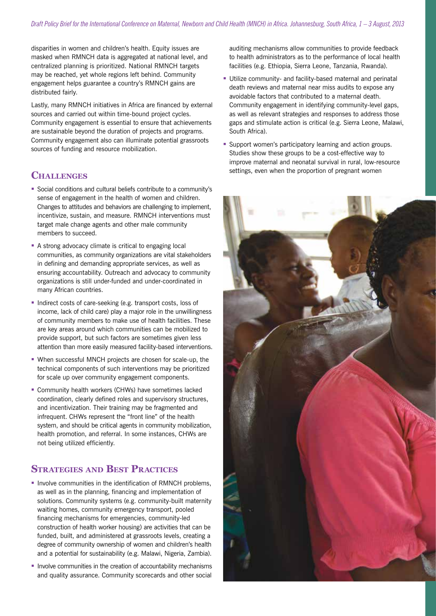disparities in women and children's health. Equity issues are masked when RMNCH data is aggregated at national level, and centralized planning is prioritized. National RMNCH targets may be reached, yet whole regions left behind. Community engagement helps guarantee a country's RMNCH gains are distributed fairly.

Lastly, many RMNCH initiatives in Africa are financed by external sources and carried out within time-bound project cycles. Community engagement is essential to ensure that achievements are sustainable beyond the duration of projects and programs. Community engagement also can illuminate potential grassroots sources of funding and resource mobilization.

#### **CHALLENGES**

- Social conditions and cultural beliefs contribute to a community's sense of engagement in the health of women and children. Changes to attitudes and behaviors are challenging to implement, incentivize, sustain, and measure. RMNCH interventions must target male change agents and other male community members to succeed.
- A strong advocacy climate is critical to engaging local communities, as community organizations are vital stakeholders in defining and demanding appropriate services, as well as ensuring accountability. Outreach and advocacy to community organizations is still under-funded and under-coordinated in many African countries.
- Indirect costs of care-seeking (e.g. transport costs, loss of income, lack of child care) play a major role in the unwillingness of community members to make use of health facilities. These are key areas around which communities can be mobilized to provide support, but such factors are sometimes given less attention than more easily measured facility-based interventions.
- When successful MNCH projects are chosen for scale-up, the technical components of such interventions may be prioritized for scale up over community engagement components.
- Community health workers (CHWs) have sometimes lacked coordination, clearly defined roles and supervisory structures, and incentivization. Their training may be fragmented and infrequent. CHWs represent the "front line" of the health system, and should be critical agents in community mobilization, health promotion, and referral. In some instances, CHWs are not being utilized efficiently.

### **STRATEGIES AND BEST PRACTICES**

- **Involve communities in the identification of RMNCH problems,** as well as in the planning, financing and implementation of solutions. Community systems (e.g. community-built maternity waiting homes, community emergency transport, pooled financing mechanisms for emergencies, community-led construction of health worker housing) are activities that can be funded, built, and administered at grassroots levels, creating a degree of community ownership of women and children's health and a potential for sustainability (e.g. Malawi, Nigeria, Zambia).
- Involve communities in the creation of accountability mechanisms and quality assurance. Community scorecards and other social

auditing mechanisms allow communities to provide feedback to health administrators as to the performance of local health facilities (e.g. Ethiopia, Sierra Leone, Tanzania, Rwanda).

- Utilize community- and facility-based maternal and perinatal death reviews and maternal near miss audits to expose any avoidable factors that contributed to a maternal death. Community engagement in identifying community-level gaps, as well as relevant strategies and responses to address those gaps and stimulate action is critical (e.g. Sierra Leone, Malawi, South Africa).
- **Support women's participatory learning and action groups.** Studies show these groups to be a cost-effective way to improve maternal and neonatal survival in rural, low-resource settings, even when the proportion of pregnant women

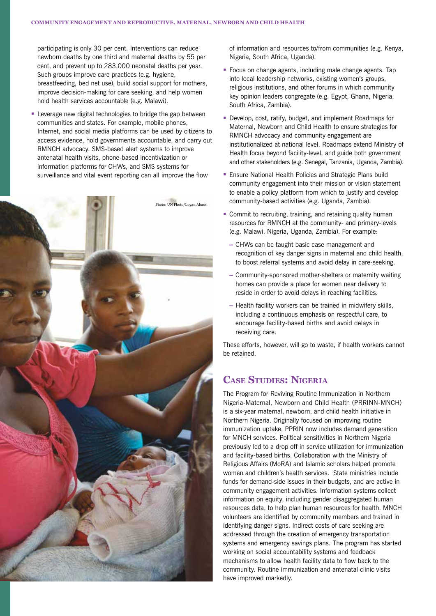participating is only 30 per cent. Interventions can reduce newborn deaths by one third and maternal deaths by 55 per cent, and prevent up to 283,000 neonatal deaths per year. Such groups improve care practices (e.g. hygiene, breastfeeding, bed net use), build social support for mothers, improve decision-making for care seeking, and help women hold health services accountable (e.g. Malawi).

 Leverage new digital technologies to bridge the gap between communities and states. For example, mobile phones, Internet, and social media platforms can be used by citizens to access evidence, hold governments accountable, and carry out RMNCH advocacy. SMS-based alert systems to improve antenatal health visits, phone-based incentivization or information platforms for CHWs, and SMS systems for surveillance and vital event reporting can all improve the flow



of information and resources to/from communities (e.g. Kenya, Nigeria, South Africa, Uganda).

- Focus on change agents, including male change agents. Tap into local leadership networks, existing women's groups, religious institutions, and other forums in which community key opinion leaders congregate (e.g. Egypt, Ghana, Nigeria, South Africa, Zambia).
- Develop, cost, ratify, budget, and implement Roadmaps for Maternal, Newborn and Child Health to ensure strategies for RMNCH advocacy and community engagement are institutionalized at national level. Roadmaps extend Ministry of Health focus beyond facility-level, and guide both government and other stakeholders (e.g. Senegal, Tanzania, Uganda, Zambia).
- **Ensure National Health Policies and Strategic Plans build** community engagement into their mission or vision statement to enable a policy platform from which to justify and develop community-based activities (e.g. Uganda, Zambia).
- Commit to recruiting, training, and retaining quality human resources for RMNCH at the community- and primary-levels (e.g. Malawi, Nigeria, Uganda, Zambia). For example:
	- CHWs can be taught basic case management and recognition of key danger signs in maternal and child health, to boost referral systems and avoid delay in care-seeking.
	- Community-sponsored mother-shelters or maternity waiting homes can provide a place for women near delivery to reside in order to avoid delays in reaching facilities.
	- Health facility workers can be trained in midwifery skills, including a continuous emphasis on respectful care, to encourage facility-based births and avoid delays in receiving care.

These efforts, however, will go to waste, if health workers cannot be retained.

#### **CASE STUDIES: NIGERIA**

The Program for Reviving Routine Immunization in Northern Nigeria-Maternal, Newborn and Child Health (PRRINN-MNCH) is a six-year maternal, newborn, and child health initiative in Northern Nigeria. Originally focused on improving routine immunization uptake, PPRIN now includes demand generation for MNCH services. Political sensitivities in Northern Nigeria previously led to a drop off in service utilization for immunization and facility-based births. Collaboration with the Ministry of Religious Affairs (MoRA) and Islamic scholars helped promote women and children's health services. State ministries include funds for demand-side issues in their budgets, and are active in community engagement activities. Information systems collect information on equity, including gender disaggregated human resources data, to help plan human resources for health. MNCH volunteers are identified by community members and trained in identifying danger signs. Indirect costs of care seeking are addressed through the creation of emergency transportation systems and emergency savings plans. The program has started working on social accountability systems and feedback mechanisms to allow health facility data to flow back to the community. Routine immunization and antenatal clinic visits have improved markedly.